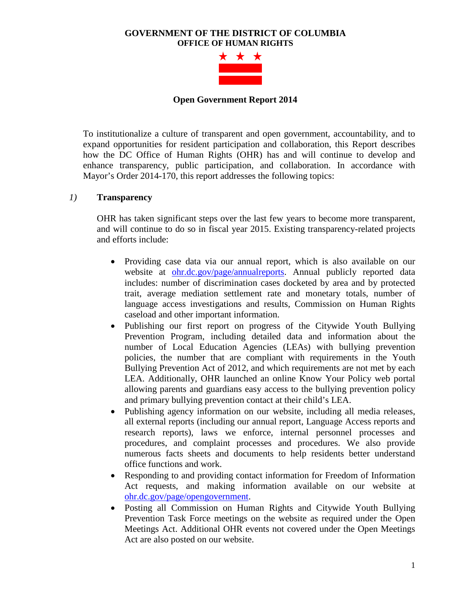### **GOVERNMENT OF THE DISTRICT OF COLUMBIA OFFICE OF HUMAN RIGHTS**



#### **Open Government Report 2014**

To institutionalize a culture of transparent and open government, accountability, and to expand opportunities for resident participation and collaboration, this Report describes how the DC Office of Human Rights (OHR) has and will continue to develop and enhance transparency, public participation, and collaboration. In accordance with Mayor's Order 2014-170, this report addresses the following topics:

### *1)* **Transparency**

OHR has taken significant steps over the last few years to become more transparent, and will continue to do so in fiscal year 2015. Existing transparency-related projects and efforts include:

- Providing case data via our annual report, which is also available on our website at [ohr.dc.gov/page/annualreports.](http://ohr.dc.gov/page/annualreports) Annual publicly reported data includes: number of discrimination cases docketed by area and by protected trait, average mediation settlement rate and monetary totals, number of language access investigations and results, Commission on Human Rights caseload and other important information.
- Publishing our first report on progress of the Citywide Youth Bullying Prevention Program, including detailed data and information about the number of Local Education Agencies (LEAs) with bullying prevention policies, the number that are compliant with requirements in the Youth Bullying Prevention Act of 2012, and which requirements are not met by each LEA. Additionally, OHR launched an online Know Your Policy web portal allowing parents and guardians easy access to the bullying prevention policy and primary bullying prevention contact at their child's LEA.
- Publishing agency information on our website, including all media releases, all external reports (including our annual report, Language Access reports and research reports), laws we enforce, internal personnel processes and procedures, and complaint processes and procedures. We also provide numerous facts sheets and documents to help residents better understand office functions and work.
- Responding to and providing contact information for Freedom of Information Act requests, and making information available on our website at [ohr.dc.gov/page/opengovernment.](http://ohr.dc.gov/opengovernment)
- Posting all Commission on Human Rights and Citywide Youth Bullying Prevention Task Force meetings on the website as required under the Open Meetings Act. Additional OHR events not covered under the Open Meetings Act are also posted on our website.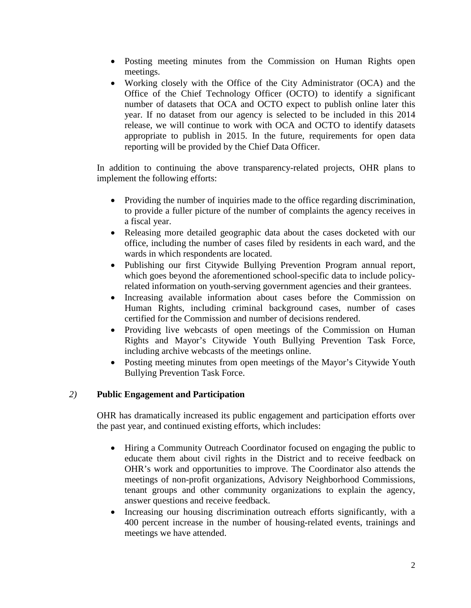- Posting meeting minutes from the Commission on Human Rights open meetings.
- Working closely with the Office of the City Administrator (OCA) and the Office of the Chief Technology Officer (OCTO) to identify a significant number of datasets that OCA and OCTO expect to publish online later this year. If no dataset from our agency is selected to be included in this 2014 release, we will continue to work with OCA and OCTO to identify datasets appropriate to publish in 2015. In the future, requirements for open data reporting will be provided by the Chief Data Officer.

In addition to continuing the above transparency-related projects, OHR plans to implement the following efforts:

- Providing the number of inquiries made to the office regarding discrimination, to provide a fuller picture of the number of complaints the agency receives in a fiscal year.
- Releasing more detailed geographic data about the cases docketed with our office, including the number of cases filed by residents in each ward, and the wards in which respondents are located.
- Publishing our first Citywide Bullying Prevention Program annual report, which goes beyond the aforementioned school-specific data to include policyrelated information on youth-serving government agencies and their grantees.
- Increasing available information about cases before the Commission on Human Rights, including criminal background cases, number of cases certified for the Commission and number of decisions rendered.
- Providing live webcasts of open meetings of the Commission on Human Rights and Mayor's Citywide Youth Bullying Prevention Task Force, including archive webcasts of the meetings online.
- Posting meeting minutes from open meetings of the Mayor's Citywide Youth Bullying Prevention Task Force.

# *2)* **Public Engagement and Participation**

OHR has dramatically increased its public engagement and participation efforts over the past year, and continued existing efforts, which includes:

- Hiring a Community Outreach Coordinator focused on engaging the public to educate them about civil rights in the District and to receive feedback on OHR's work and opportunities to improve. The Coordinator also attends the meetings of non-profit organizations, Advisory Neighborhood Commissions, tenant groups and other community organizations to explain the agency, answer questions and receive feedback.
- Increasing our housing discrimination outreach efforts significantly, with a 400 percent increase in the number of housing-related events, trainings and meetings we have attended.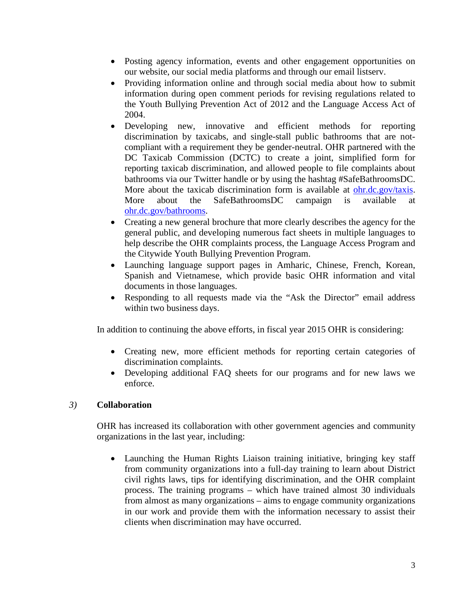- Posting agency information, events and other engagement opportunities on our website, our social media platforms and through our email listserv.
- Providing information online and through social media about how to submit information during open comment periods for revising regulations related to the Youth Bullying Prevention Act of 2012 and the Language Access Act of 2004.
- Developing new, innovative and efficient methods for reporting discrimination by taxicabs, and single-stall public bathrooms that are notcompliant with a requirement they be gender-neutral. OHR partnered with the DC Taxicab Commission (DCTC) to create a joint, simplified form for reporting taxicab discrimination, and allowed people to file complaints about bathrooms via our Twitter handle or by using the hashtag #SafeBathroomsDC. More about the taxicab discrimination form is available at [ohr.dc.gov/taxis.](http://ohr.dc.gov/taxis) More about the SafeBathroomsDC campaign is available at [ohr.dc.gov/bathrooms.](http://ohr.dc.gov/bathrooms)
- Creating a new general brochure that more clearly describes the agency for the general public, and developing numerous fact sheets in multiple languages to help describe the OHR complaints process, the Language Access Program and the Citywide Youth Bullying Prevention Program.
- Launching language support pages in Amharic, Chinese, French, Korean, Spanish and Vietnamese, which provide basic OHR information and vital documents in those languages.
- Responding to all requests made via the "Ask the Director" email address within two business days.

In addition to continuing the above efforts, in fiscal year 2015 OHR is considering:

- Creating new, more efficient methods for reporting certain categories of discrimination complaints.
- Developing additional FAQ sheets for our programs and for new laws we enforce.

# *3)* **Collaboration**

OHR has increased its collaboration with other government agencies and community organizations in the last year, including:

• Launching the Human Rights Liaison training initiative, bringing key staff from community organizations into a full-day training to learn about District civil rights laws, tips for identifying discrimination, and the OHR complaint process. The training programs – which have trained almost 30 individuals from almost as many organizations – aims to engage community organizations in our work and provide them with the information necessary to assist their clients when discrimination may have occurred.